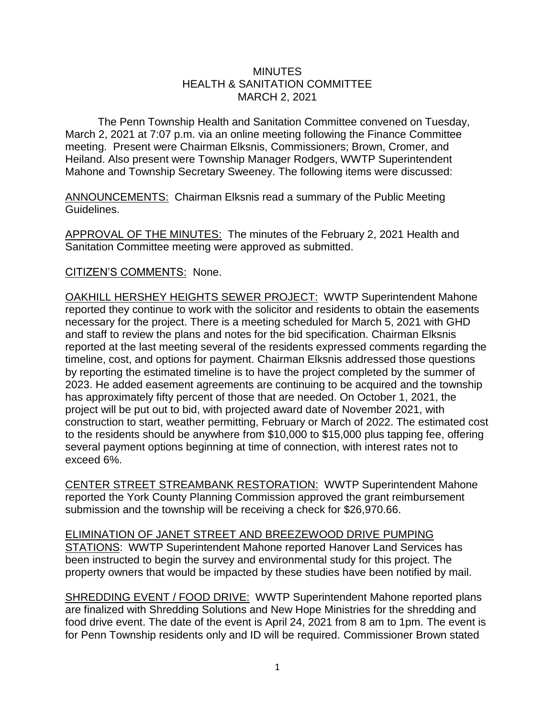## **MINUTES** HEALTH & SANITATION COMMITTEE MARCH 2, 2021

The Penn Township Health and Sanitation Committee convened on Tuesday, March 2, 2021 at 7:07 p.m. via an online meeting following the Finance Committee meeting. Present were Chairman Elksnis, Commissioners; Brown, Cromer, and Heiland. Also present were Township Manager Rodgers, WWTP Superintendent Mahone and Township Secretary Sweeney. The following items were discussed:

ANNOUNCEMENTS: Chairman Elksnis read a summary of the Public Meeting Guidelines.

APPROVAL OF THE MINUTES: The minutes of the February 2, 2021 Health and Sanitation Committee meeting were approved as submitted.

## CITIZEN'S COMMENTS: None.

OAKHILL HERSHEY HEIGHTS SEWER PROJECT: WWTP Superintendent Mahone reported they continue to work with the solicitor and residents to obtain the easements necessary for the project. There is a meeting scheduled for March 5, 2021 with GHD and staff to review the plans and notes for the bid specification. Chairman Elksnis reported at the last meeting several of the residents expressed comments regarding the timeline, cost, and options for payment. Chairman Elksnis addressed those questions by reporting the estimated timeline is to have the project completed by the summer of 2023. He added easement agreements are continuing to be acquired and the township has approximately fifty percent of those that are needed. On October 1, 2021, the project will be put out to bid, with projected award date of November 2021, with construction to start, weather permitting, February or March of 2022. The estimated cost to the residents should be anywhere from \$10,000 to \$15,000 plus tapping fee, offering several payment options beginning at time of connection, with interest rates not to exceed 6%.

CENTER STREET STREAMBANK RESTORATION: WWTP Superintendent Mahone reported the York County Planning Commission approved the grant reimbursement submission and the township will be receiving a check for \$26,970.66.

ELIMINATION OF JANET STREET AND BREEZEWOOD DRIVE PUMPING STATIONS: WWTP Superintendent Mahone reported Hanover Land Services has been instructed to begin the survey and environmental study for this project. The property owners that would be impacted by these studies have been notified by mail.

SHREDDING EVENT / FOOD DRIVE: WWTP Superintendent Mahone reported plans are finalized with Shredding Solutions and New Hope Ministries for the shredding and food drive event. The date of the event is April 24, 2021 from 8 am to 1pm. The event is for Penn Township residents only and ID will be required. Commissioner Brown stated